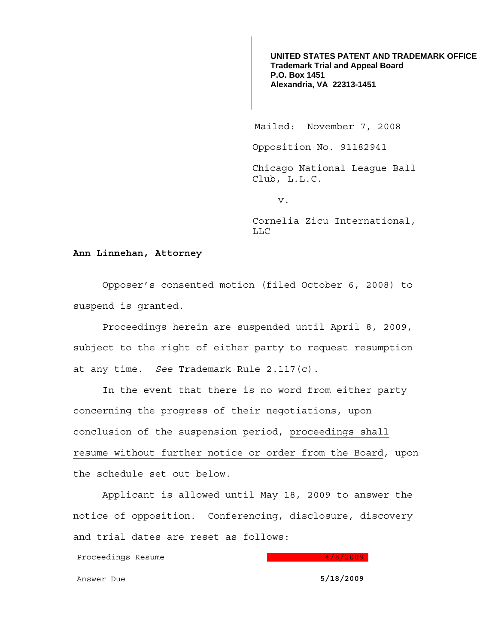**UNITED STATES PATENT AND TRADEMARK OFFICE Trademark Trial and Appeal Board P.O. Box 1451 Alexandria, VA 22313-1451**

Mailed: November 7, 2008

Opposition No. 91182941

Chicago National League Ball Club, L.L.C.

v.

Cornelia Zicu International, LLC

## **Ann Linnehan, Attorney**

 Opposer's consented motion (filed October 6, 2008) to suspend is granted.

Proceedings herein are suspended until April 8, 2009, subject to the right of either party to request resumption at any time. *See* Trademark Rule 2.117(c).

 In the event that there is no word from either party concerning the progress of their negotiations, upon conclusion of the suspension period, proceedings shall resume without further notice or order from the Board, upon the schedule set out below.

 Applicant is allowed until May 18, 2009 to answer the notice of opposition. Conferencing, disclosure, discovery and trial dates are reset as follows:

Proceedings Resume and the state of the 1990 and the 1990 and the 1990 and the 1990 and the 1990 and the 1990 and 1990 and 1990 and 1990 and 1990 and 1990 and 1990 and 1990 and 1990 and 1990 and 1990 and 1990 and 1990 and

Answer Due **5/18/2009**